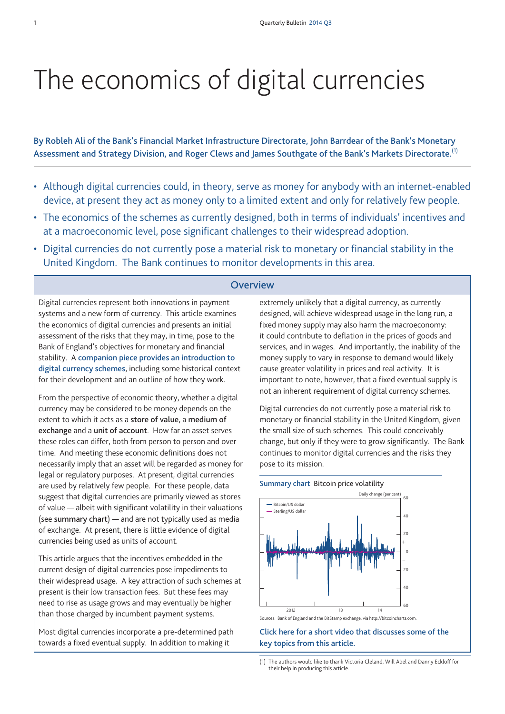# The economics of digital currencies

**By Robleh Ali of the Bank's Financial Market Infrastructure Directorate, John Barrdear of the Bank's Monetary Assessment and Strategy Division, and Roger Clews and James Southgate of the Bank's Markets Directorate.** (1)

- Although digital currencies could, in theory, serve as money for anybody with an internet-enabled device, at present they act as money only to a limited extent and only for relatively few people.
- The economics of the schemes as currently designed, both in terms of individuals' incentives and at a macroeconomic level, pose significant challenges to their widespread adoption.
- Digital currencies do not currently pose a material risk to monetary or financial stability in the United Kingdom. The Bank continues to monitor developments in this area.

## **Overview**

Digital currencies represent both innovations in payment systems and a new form of currency. This article examines the economics of digital currencies and presents an initial assessment of the risks that they may, in time, pose to the Bank of England's objectives for monetary and financial stability. A **companion piece provides an [introduction](http://www.bankofengland.co.uk/publications/Documents/quarterlybulletin/2014/qb14q301.pdf) to digital [currency](http://www.bankofengland.co.uk/publications/Documents/quarterlybulletin/2014/qb14q301.pdf) schemes**, including some historical context for their development and an outline of how they work.

From the perspective of economic theory, whether a digital currency may be considered to be money depends on the extent to which it acts as a **store of value**, a **medium of exchange** and a **unit of account**. How far an asset serves these roles can differ, both from person to person and over time. And meeting these economic definitions does not necessarily imply that an asset will be regarded as money for legal or regulatory purposes. At present, digital currencies are used by relatively few people. For these people, data suggest that digital currencies are primarily viewed as stores of value — albeit with significant volatility in their valuations (see **summary chart**) — and are not typically used as media of exchange. At present, there is little evidence of digital currencies being used as units of account.

This article argues that the incentives embedded in the current design of digital currencies pose impediments to their widespread usage. A key attraction of such schemes at present is their low transaction fees. But these fees may need to rise as usage grows and may eventually be higher than those charged by incumbent payment systems.

Most digital currencies incorporate a pre-determined path towards a fixed eventual supply. In addition to making it

extremely unlikely that a digital currency, as currently designed, will achieve widespread usage in the long run, a fixed money supply may also harm the macroeconomy: it could contribute to deflation in the prices of goods and services, and in wages. And importantly, the inability of the money supply to vary in response to demand would likely cause greater volatility in prices and real activity. It is important to note, however, that a fixed eventual supply is not an inherent requirement of digital currency schemes.

Digital currencies do not currently pose a material risk to monetary or financial stability in the United Kingdom, given the small size of such schemes. This could conceivably change, but only if they were to grow significantly. The Bank continues to monitor digital currencies and the risks they pose to its mission.

#### **Summary chart** Bitcoin price volatility



Sources: Bank of England and the BitStamp exchange, via [http://bitcoincharts.com.](http://bitcoincharts.com)

**Click here for a short video that [discusses](http://youtu.be/rGNNiTaC2xs) some of the key topics from this [article.](http://youtu.be/rGNNiTaC2xs)**

<sup>(1)</sup> The authors would like to thank Victoria Cleland, Will Abel and Danny Eckloff for their help in producing this article.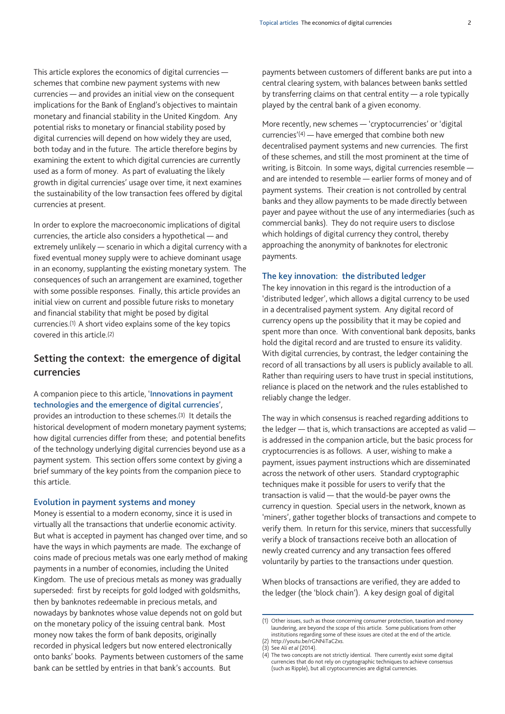This article explores the economics of digital currencies schemes that combine new payment systems with new currencies — and provides an initial view on the consequent implications for the Bank of England's objectives to maintain monetary and financial stability in the United Kingdom. Any potential risks to monetary or financial stability posed by digital currencies will depend on how widely they are used, both today and in the future. The article therefore begins by examining the extent to which digital currencies are currently used as a form of money. As part of evaluating the likely growth in digital currencies' usage over time, it next examines the sustainability of the low transaction fees offered by digital currencies at present.

In order to explore the macroeconomic implications of digital currencies, the article also considers a hypothetical — and extremely unlikely — scenario in which a digital currency with a fixed eventual money supply were to achieve dominant usage in an economy, supplanting the existing monetary system. The consequences of such an arrangement are examined, together with some possible responses. Finally, this article provides an initial view on current and possible future risks to monetary and financial stability that might be posed by digital currencies.(1) A short video explains some of the key topics covered in this article.(2)

# **Setting the context: the emergence of digital currencies**

## A companion piece to this article, '**[Innovations](http://www.bankofengland.co.uk/publications/Documents/quarterlybulletin/2014/qb14q301.pdf) in payment [technologies](http://www.bankofengland.co.uk/publications/Documents/quarterlybulletin/2014/qb14q301.pdf) and the emergence of digital currencies**',

provides an introduction to these schemes.(3) It details the historical development of modern monetary payment systems; how digital currencies differ from these; and potential benefits of the technology underlying digital currencies beyond use as a payment system. This section offers some context by giving a brief summary of the key points from the companion piece to this article.

#### **Evolution in payment systems and money**

Money is essential to a modern economy, since it is used in virtually all the transactions that underlie economic activity. But what is accepted in payment has changed over time, and so have the ways in which payments are made. The exchange of coins made of precious metals was one early method of making payments in a number of economies, including the United Kingdom. The use of precious metals as money was gradually superseded: first by receipts for gold lodged with goldsmiths, then by banknotes redeemable in precious metals, and nowadays by banknotes whose value depends not on gold but on the monetary policy of the issuing central bank. Most money now takes the form of bank deposits, originally recorded in physical ledgers but now entered electronically onto banks' books. Payments between customers of the same bank can be settled by entries in that bank's accounts. But

payments between customers of different banks are put into a central clearing system, with balances between banks settled by transferring claims on that central entity — a role typically played by the central bank of a given economy.

More recently, new schemes — 'cryptocurrencies' or 'digital currencies'(4) — have emerged that combine both new decentralised payment systems and new currencies. The first of these schemes, and still the most prominent at the time of writing, is Bitcoin. In some ways, digital currencies resemble and are intended to resemble — earlier forms of money and of payment systems. Their creation is not controlled by central banks and they allow payments to be made directly between payer and payee without the use of any intermediaries (such as commercial banks). They do not require users to disclose which holdings of digital currency they control, thereby approaching the anonymity of banknotes for electronic payments.

#### **The key innovation: the distributed ledger**

The key innovation in this regard is the introduction of a 'distributed ledger', which allows a digital currency to be used in a decentralised payment system. Any digital record of currency opens up the possibility that it may be copied and spent more than once. With conventional bank deposits, banks hold the digital record and are trusted to ensure its validity. With digital currencies, by contrast, the ledger containing the record of all transactions by all users is publicly available to all. Rather than requiring users to have trust in special institutions, reliance is placed on the network and the rules established to reliably change the ledger.

The way in which consensus is reached regarding additions to the ledger — that is, which transactions are accepted as valid is addressed in the companion article, but the basic process for cryptocurrencies is as follows. A user, wishing to make a payment, issues payment instructions which are disseminated across the network of other users. Standard cryptographic techniques make it possible for users to verify that the transaction is valid — that the would-be payer owns the currency in question. Special users in the network, known as 'miners', gather together blocks of transactions and compete to verify them. In return for this service, miners that successfully verify a block of transactions receive both an allocation of newly created currency and any transaction fees offered voluntarily by parties to the transactions under question.

When blocks of transactions are verified, they are added to the ledger (the 'block chain'). A key design goal of digital

<sup>(1)</sup> Other issues, such as those concerning consumer protection, taxation and money laundering, are beyond the scope of this article. Some publications from other institutions regarding some of these issues are cited at the end of the article.

<sup>(2)</sup> http://youtu.be/rGNNiTaC2xs. (3) See Ali *et al* (2014).

<sup>(4)</sup> The two concepts are not strictly identical. There currently exist some digital currencies that do not rely on cryptographic techniques to achieve consensus (such as Ripple), but all cryptocurrencies are digital currencies.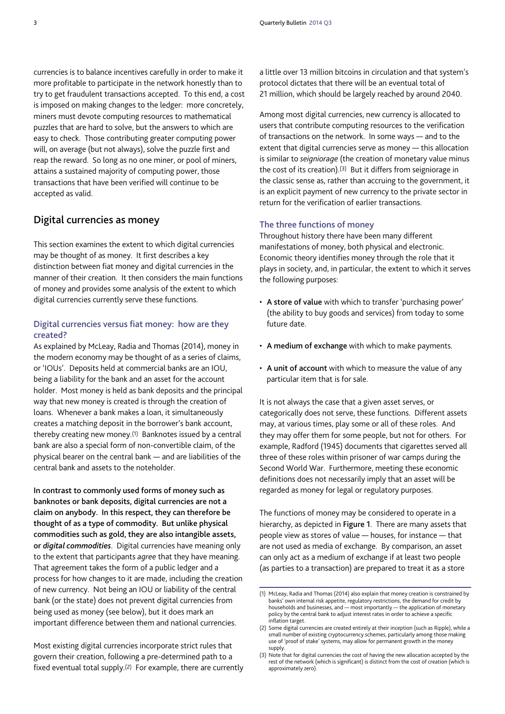currencies is to balance incentives carefully in order to make it more profitable to participate in the network honestly than to try to get fraudulent transactions accepted. To this end, a cost is imposed on making changes to the ledger: more concretely, miners must devote computing resources to mathematical puzzles that are hard to solve, but the answers to which are easy to check. Those contributing greater computing power will, on average (but not always), solve the puzzle first and reap the reward. So long as no one miner, or pool of miners, attains a sustained majority of computing power, those transactions that have been verified will continue to be accepted as valid.

# **Digital currencies as money**

This section examines the extent to which digital currencies may be thought of as money. It first describes a key distinction between fiat money and digital currencies in the manner of their creation. It then considers the main functions of money and provides some analysis of the extent to which digital currencies currently serve these functions.

## **Digital currencies versus fiat money: how are they created?**

As explained by McLeay, Radia and Thomas (2014), money in the modern economy may be thought of as a series of claims, or 'IOUs'. Deposits held at commercial banks are an IOU, being a liability for the bank and an asset for the account holder. Most money is held as bank deposits and the principal way that new money is created is through the creation of loans. Whenever a bank makes a loan, it simultaneously creates a matching deposit in the borrower's bank account, thereby creating new money.(1) Banknotes issued by a central bank are also a special form of non-convertible claim, of the physical bearer on the central bank — and are liabilities of the central bank and assets to the noteholder.

**In contrast to commonly used forms of money such as banknotes or bank deposits, digital currencies are not a claim on anybody. In this respect, they can therefore be thought of as a type of commodity. But unlike physical commodities such as gold, they are also intangible assets, or** *digital commodities*. Digital currencies have meaning only to the extent that participants *agree* that they have meaning. That agreement takes the form of a public ledger and a process for how changes to it are made, including the creation of new currency. Not being an IOU or liability of the central bank (or the state) does not prevent digital currencies from being used as money (see below), but it does mark an important difference between them and national currencies.

Most existing digital currencies incorporate strict rules that govern their creation, following a pre-determined path to a fixed eventual total supply.(2) For example, there are currently a little over 13 million bitcoins in circulation and that system's protocol dictates that there will be an eventual total of 21 million, which should be largely reached by around 2040.

Among most digital currencies, new currency is allocated to users that contribute computing resources to the verification of transactions on the network. In some ways — and to the extent that digital currencies serve as money — this allocation is similar to *seigniorage* (the creation of monetary value minus the cost of its creation).(3) But it differs from seigniorage in the classic sense as, rather than accruing to the government, it is an explicit payment of new currency to the private sector in return for the verification of earlier transactions.

## **The three functions of money**

Throughout history there have been many different manifestations of money, both physical and electronic. Economic theory identifies money through the role that it plays in society, and, in particular, the extent to which it serves the following purposes:

- **A store of value** with which to transfer 'purchasing power' (the ability to buy goods and services) from today to some future date.
- **A medium of exchange** with which to make payments.
- **A unit of account** with which to measure the value of any particular item that is for sale.

It is not always the case that a given asset serves, or categorically does not serve, these functions. Different assets may, at various times, play some or all of these roles. And they may offer them for some people, but not for others. For example, Radford (1945) documents that cigarettes served all three of these roles within prisoner of war camps during the Second World War. Furthermore, meeting these economic definitions does not necessarily imply that an asset will be regarded as money for legal or regulatory purposes.

The functions of money may be considered to operate in a hierarchy, as depicted in **Figure 1**. There are many assets that people view as stores of value — houses, for instance — that are not used as media of exchange. By comparison, an asset can only act as a medium of exchange if at least two people (as parties to a transaction) are prepared to treat it as a store

<sup>(1)</sup> McLeay, Radia and Thomas (2014) also explain that money creation is constrained by banks' own internal risk appetite, regulatory restrictions, the demand for credit by households and businesses, and — most importantly — the application of monetary policy by the central bank to adjust interest rates in order to achieve a specific inflation target.

<sup>(2)</sup> Some digital currencies are created entirely at their inception (such as Ripple), while a small number of existing cryptocurrency schemes, particularly among those making use of 'proof of stake' systems, may allow for permanent growth in the money supply.

<sup>(3)</sup> Note that for digital currencies the cost of having the new allocation accepted by the rest of the network (which is significant) is distinct from the cost of creation (which is approximately zero).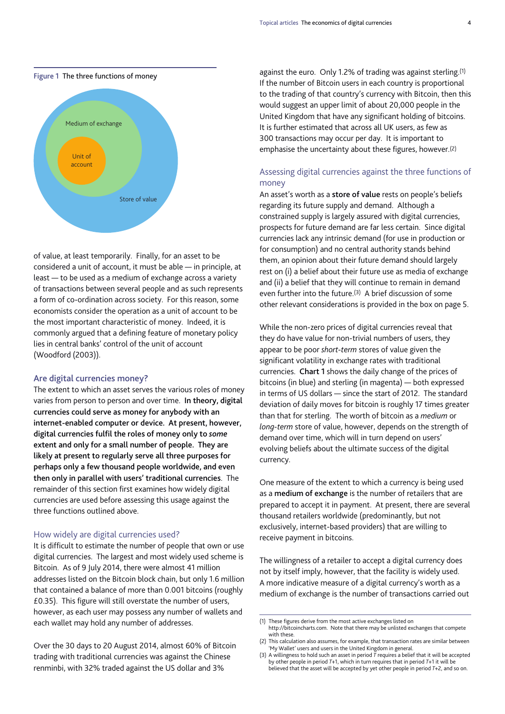

of value, at least temporarily. Finally, for an asset to be considered a unit of account, it must be able — in principle, at least — to be used as a medium of exchange across a variety of transactions between several people and as such represents a form of co-ordination across society. For this reason, some economists consider the operation as a unit of account to be the most important characteristic of money. Indeed, it is commonly argued that a defining feature of monetary policy lies in central banks' control of the unit of account (Woodford (2003)).

#### **Are digital currencies money?**

The extent to which an asset serves the various roles of money varies from person to person and over time. **In theory, digital currencies could serve as money for anybody with an internet-enabled computer or device. At present, however, digital currencies fulfil the roles of money only to** *some* **extent and only for a small number of people. They are likely at present to regularly serve all three purposes for perhaps only a few thousand people worldwide, and even then only in parallel with users' traditional currencies**. The remainder of this section first examines how widely digital currencies are used before assessing this usage against the three functions outlined above.

## How widely are digital currencies used?

It is difficult to estimate the number of people that own or use digital currencies. The largest and most widely used scheme is Bitcoin. As of 9 July 2014, there were almost 41 million addresses listed on the Bitcoin block chain, but only 1.6 million that contained a balance of more than 0.001 bitcoins (roughly £0.35). This figure will still overstate the number of users, however, as each user may possess any number of wallets and each wallet may hold any number of addresses.

Over the 30 days to 20 August 2014, almost 60% of Bitcoin trading with traditional currencies was against the Chinese renminbi, with 32% traded against the US dollar and 3%

against the euro. Only 1.2% of trading was against sterling.(1) If the number of Bitcoin users in each country is proportional to the trading of that country's currency with Bitcoin, then this would suggest an upper limit of about 20,000 people in the United Kingdom that have any significant holding of bitcoins. It is further estimated that across all UK users, as few as 300 transactions may occur per day. It is important to emphasise the uncertainty about these figures, however.(2)

## Assessing digital currencies against the three functions of money

An asset's worth as a **store of value** rests on people's beliefs regarding its future supply and demand. Although a constrained supply is largely assured with digital currencies, prospects for future demand are far less certain. Since digital currencies lack any intrinsic demand (for use in production or for consumption) and no central authority stands behind them, an opinion about their future demand should largely rest on (i) a belief about their future use as media of exchange and (ii) a belief that they will continue to remain in demand even further into the future.(3) A brief discussion of some other relevant considerations is provided in the box on page 5.

While the non-zero prices of digital currencies reveal that they do have value for non-trivial numbers of users, they appear to be poor *short-term* stores of value given the significant volatility in exchange rates with traditional currencies. **Chart 1** shows the daily change of the prices of bitcoins (in blue) and sterling (in magenta) — both expressed in terms of US dollars — since the start of 2012. The standard deviation of daily moves for bitcoin is roughly 17 times greater than that for sterling. The worth of bitcoin as a *medium* or *long-term* store of value, however, depends on the strength of demand over time, which will in turn depend on users' evolving beliefs about the ultimate success of the digital currency.

One measure of the extent to which a currency is being used as a **medium of exchange** is the number of retailers that are prepared to accept it in payment. At present, there are several thousand retailers worldwide (predominantly, but not exclusively, internet-based providers) that are willing to receive payment in bitcoins.

The willingness of a retailer to accept a digital currency does not by itself imply, however, that the facility is widely used. A more indicative measure of a digital currency's worth as a medium of exchange is the number of transactions carried out

<sup>(1)</sup> These figures derive from the most active exchanges listed on [http://bitcoincharts.com.](http://bitcoincharts.com) Note that there may be unlisted exchanges that compete with these.

<sup>(2)</sup> This calculation also assumes, for example, that transaction rates are similar between

<sup>&#</sup>x27;My Wallet' users and users in the United Kingdom in general. (3) A willingness to hold such an asset in period *T* requires a belief that it will be accepted by other people in period *T*+1, which in turn requires that in period *T*+1 it will be believed that the asset will be accepted by yet other people in period *T*+2, and so on.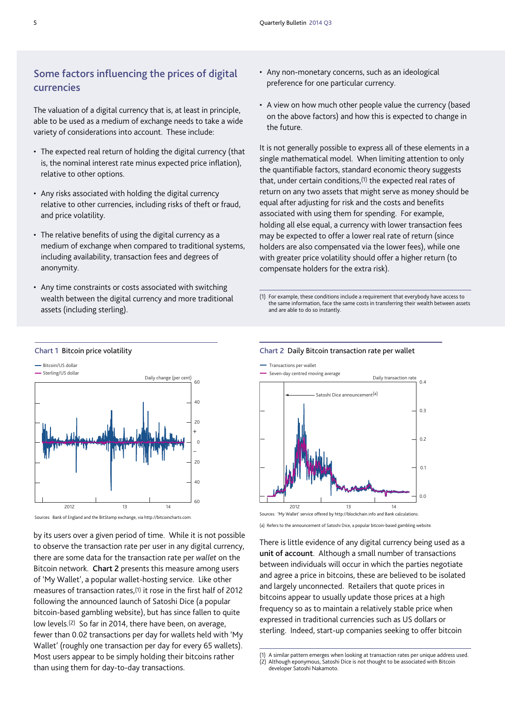# **Some factors influencing the prices of digital currencies**

The valuation of a digital currency that is, at least in principle, able to be used as a medium of exchange needs to take a wide variety of considerations into account. These include:

- The expected real return of holding the digital currency (that is, the nominal interest rate minus expected price inflation), relative to other options.
- Any risks associated with holding the digital currency relative to other currencies, including risks of theft or fraud, and price volatility.
- The relative benefits of using the digital currency as a medium of exchange when compared to traditional systems, including availability, transaction fees and degrees of anonymity.
- Any time constraints or costs associated with switching wealth between the digital currency and more traditional assets (including sterling).

**Chart 1** Bitcoin price volatility

- Any non-monetary concerns, such as an ideological preference for one particular currency.
- A view on how much other people value the currency (based on the above factors) and how this is expected to change in the future.

It is not generally possible to express all of these elements in a single mathematical model. When limiting attention to only the quantifiable factors, standard economic theory suggests that, under certain conditions,<sup>(1)</sup> the expected real rates of return on any two assets that might serve as money should be equal after adjusting for risk and the costs and benefits associated with using them for spending. For example, holding all else equal, a currency with lower transaction fees may be expected to offer a lower real rate of return (since holders are also compensated via the lower fees), while one with greater price volatility should offer a higher return (to compensate holders for the extra risk).

(1) For example, these conditions include a requirement that everybody have access to the same information, face the same costs in transferring their wealth between assets and are able to do so instantly.



by its users over a given period of time. While it is not possible to observe the transaction rate per user in any digital currency, there are some data for the transaction rate per *wallet* on the Bitcoin network. **Chart 2** presents this measure among users of 'My Wallet', a popular wallet-hosting service. Like other measures of transaction rates,(1) it rose in the first half of 2012 following the announced launch of Satoshi Dice (a popular bitcoin-based gambling website), but has since fallen to quite low levels.(2) So far in 2014, there have been, on average, fewer than 0.02 transactions per day for wallets held with 'My Wallet' (roughly one transaction per day for every 65 wallets). Most users appear to be simply holding their bitcoins rather than using them for day-to-day transactions.

#### **Chart 2** Daily Bitcoin transaction rate per wallet



(a) Refers to the announcement of Satoshi Dice, a popular bitcoin-based gambling website.

There is little evidence of any digital currency being used as a **unit of account**. Although a small number of transactions between individuals will occur in which the parties negotiate and agree a price in bitcoins, these are believed to be isolated and largely unconnected. Retailers that quote prices in bitcoins appear to usually update those prices at a high frequency so as to maintain a relatively stable price when expressed in traditional currencies such as US dollars or sterling. Indeed, start-up companies seeking to offer bitcoin

<sup>(1)</sup> A similar pattern emerges when looking at transaction rates per unique address used.

<sup>(2)</sup> Although eponymous, Satoshi Dice is not thought to be associated with Bitcoin

developer Satoshi Nakamoto.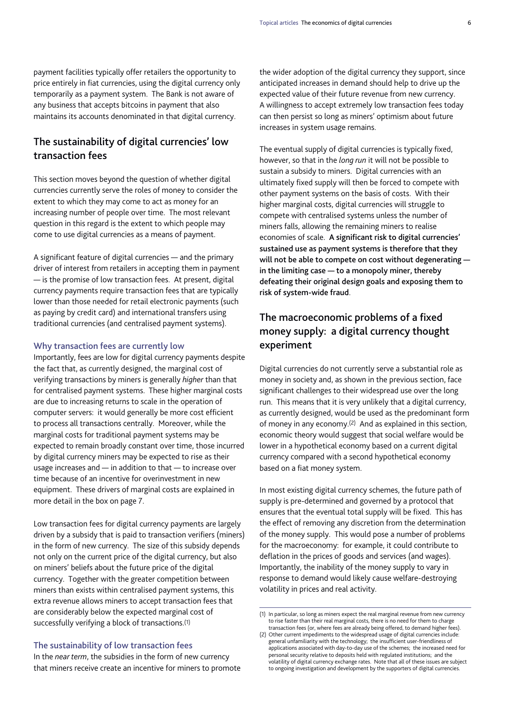payment facilities typically offer retailers the opportunity to price entirely in fiat currencies, using the digital currency only temporarily as a payment system. The Bank is not aware of any business that accepts bitcoins in payment that also maintains its accounts denominated in that digital currency.

# **The sustainability of digital currencies' low transaction fees**

This section moves beyond the question of whether digital currencies currently serve the roles of money to consider the extent to which they may come to act as money for an increasing number of people over time. The most relevant question in this regard is the extent to which people may come to use digital currencies as a means of payment.

A significant feature of digital currencies — and the primary driver of interest from retailers in accepting them in payment — is the promise of low transaction fees. At present, digital currency payments require transaction fees that are typically lower than those needed for retail electronic payments (such as paying by credit card) and international transfers using traditional currencies (and centralised payment systems).

#### **Why transaction fees are currently low**

Importantly, fees are low for digital currency payments despite the fact that, as currently designed, the marginal cost of verifying transactions by miners is generally *higher* than that for centralised payment systems. These higher marginal costs are due to increasing returns to scale in the operation of computer servers: it would generally be more cost efficient to process all transactions centrally. Moreover, while the marginal costs for traditional payment systems may be expected to remain broadly constant over time, those incurred by digital currency miners may be expected to rise as their usage increases and — in addition to that — to increase over time because of an incentive for overinvestment in new equipment. These drivers of marginal costs are explained in more detail in the box on page 7.

Low transaction fees for digital currency payments are largely driven by a subsidy that is paid to transaction verifiers (miners) in the form of new currency. The size of this subsidy depends not only on the current price of the digital currency, but also on miners' beliefs about the future price of the digital currency. Together with the greater competition between miners than exists within centralised payment systems, this extra revenue allows miners to accept transaction fees that are considerably below the expected marginal cost of successfully verifying a block of transactions.(1)

## **The sustainability of low transaction fees**

In the *near term*, the subsidies in the form of new currency that miners receive create an incentive for miners to promote the wider adoption of the digital currency they support, since anticipated increases in demand should help to drive up the expected value of their future revenue from new currency. A willingness to accept extremely low transaction fees today can then persist so long as miners' optimism about future increases in system usage remains.

The eventual supply of digital currencies is typically fixed, however, so that in the *long run* it will not be possible to sustain a subsidy to miners. Digital currencies with an ultimately fixed supply will then be forced to compete with other payment systems on the basis of costs. With their higher marginal costs, digital currencies will struggle to compete with centralised systems unless the number of miners falls, allowing the remaining miners to realise economies of scale. **A significant risk to digital currencies' sustained use as payment systems is therefore that they will not be able to compete on cost without degenerating in the limiting case — to a monopoly miner, thereby defeating their original design goals and exposing them to risk of system-wide fraud**.

# **The macroeconomic problems of a fixed money supply: a digital currency thought experiment**

Digital currencies do not currently serve a substantial role as money in society and, as shown in the previous section, face significant challenges to their widespread use over the long run. This means that it is very unlikely that a digital currency, as currently designed, would be used as the predominant form of money in any economy.(2) And as explained in this section, economic theory would suggest that social welfare would be lower in a hypothetical economy based on a current digital currency compared with a second hypothetical economy based on a fiat money system.

In most existing digital currency schemes, the future path of supply is pre-determined and governed by a protocol that ensures that the eventual total supply will be fixed. This has the effect of removing any discretion from the determination of the money supply. This would pose a number of problems for the macroeconomy: for example, it could contribute to deflation in the prices of goods and services (and wages). Importantly, the inability of the money supply to vary in response to demand would likely cause welfare-destroying volatility in prices and real activity.

<sup>(1)</sup> In particular, so long as miners expect the real marginal revenue from new currency to rise faster than their real marginal costs, there is no need for them to charge transaction fees (or, where fees are already being offered, to demand higher fees).

<sup>(2)</sup> Other current impediments to the widespread usage of digital currencies include: general unfamiliarity with the technology; the insufficient user-friendliness of applications associated with day-to-day use of the schemes; the increased need for personal security relative to deposits held with regulated institutions; and the volatility of digital currency exchange rates. Note that all of these issues are subject to ongoing investigation and development by the supporters of digital currencies.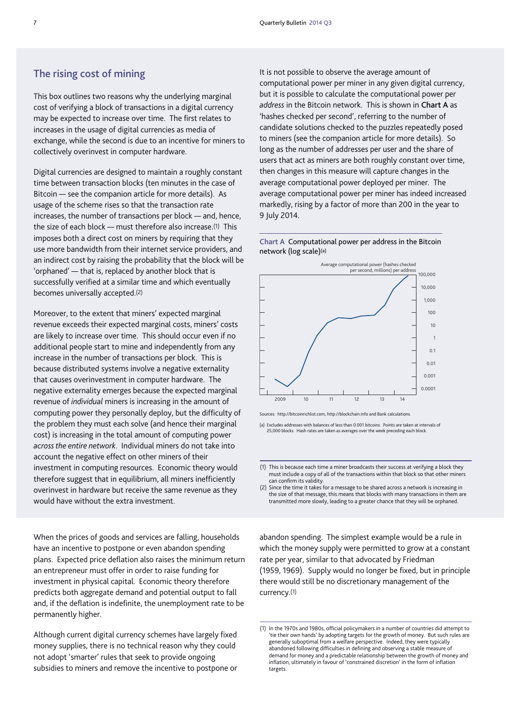## **The rising cost of mining**

This box outlines two reasons why the underlying marginal cost of verifying a block of transactions in a digital currency may be expected to increase over time. The first relates to increases in the usage of digital currencies as media of exchange, while the second is due to an incentive for miners to collectively overinvest in computer hardware.

Digital currencies are designed to maintain a roughly constant time between transaction blocks (ten minutes in the case of Bitcoin — see the companion article for more details). As usage of the scheme rises so that the transaction rate increases, the number of transactions per block — and, hence, the size of each block — must therefore also increase.(1) This imposes both a direct cost on miners by requiring that they use more bandwidth from their internet service providers, and an indirect cost by raising the probability that the block will be 'orphaned' — that is, replaced by another block that is successfully verified at a similar time and which eventually becomes universally accepted.(2)

Moreover, to the extent that miners' expected marginal revenue exceeds their expected marginal costs, miners' costs are likely to increase over time. This should occur even if no additional people start to mine and independently from any increase in the number of transactions per block. This is because distributed systems involve a negative externality that causes overinvestment in computer hardware. The negative externality emerges because the expected marginal revenue of *individual* miners is increasing in the amount of computing power they personally deploy, but the difficulty of the problem they must each solve (and hence their marginal cost) is increasing in the total amount of computing power *across the entire network*. Individual miners do not take into account the negative effect on other miners of their investment in computing resources. Economic theory would therefore suggest that in equilibrium, all miners inefficiently overinvest in hardware but receive the same revenue as they would have without the extra investment.

When the prices of goods and services are falling, households have an incentive to postpone or even abandon spending plans. Expected price deflation also raises the minimum return an entrepreneur must offer in order to raise funding for investment in physical capital. Economic theory therefore predicts both aggregate demand and potential output to fall and, if the deflation is indefinite, the unemployment rate to be permanently higher.

Although current digital currency schemes have largely fixed money supplies, there is no technical reason why they could not adopt 'smarter' rules that seek to provide ongoing subsidies to miners and remove the incentive to postpone or It is not possible to observe the average amount of computational power per miner in any given digital currency, but it is possible to calculate the computational power per *address* in the Bitcoin network. This is shown in **Chart A** as 'hashes checked per second', referring to the number of candidate solutions checked to the puzzles repeatedly posed to miners (see the companion article for more details). So long as the number of addresses per user and the share of users that act as miners are both roughly constant over time, then changes in this measure will capture changes in the average computational power deployed per miner. The average computational power per miner has indeed increased markedly, rising by a factor of more than 200 in the year to 9 July 2014.

**Chart A** Computational power per address in the Bitcoin network (log scale)(a)



Sources: [http://bitcoinrichlist.com,](http://bitcoinrichlist.com) <http://blockchain.info> and Bank calculations.

(a) Excludes addresses with balances of less than 0.001 bitcoins. Points are taken at intervals of 25,000 blocks. Hash rates are taken as averages over the week preceding each block.

(1) This is because each time a miner broadcasts their success at verifying a block they must include a copy of all of the transactions within that block so that other miners can confirm its validity.

(2) Since the time it takes for a message to be shared across a network is increasing in the size of that message, this means that blocks with many transactions in them are transmitted more slowly, leading to a greater chance that they will be orphaned.

abandon spending. The simplest example would be a rule in which the money supply were permitted to grow at a constant rate per year, similar to that advocated by Friedman (1959, 1969). Supply would no longer be fixed, but in principle there would still be no discretionary management of the currency.(1)

<sup>(1)</sup> In the 1970s and 1980s, official policymakers in a number of countries did attempt to 'tie their own hands' by adopting targets for the growth of money. But such rules are generally suboptimal from a welfare perspective. Indeed, they were typically abandoned following difficulties in defining and observing a stable measure of demand for money and a predictable relationship between the growth of money and inflation, ultimately in favour of 'constrained discretion' in the form of inflation targets.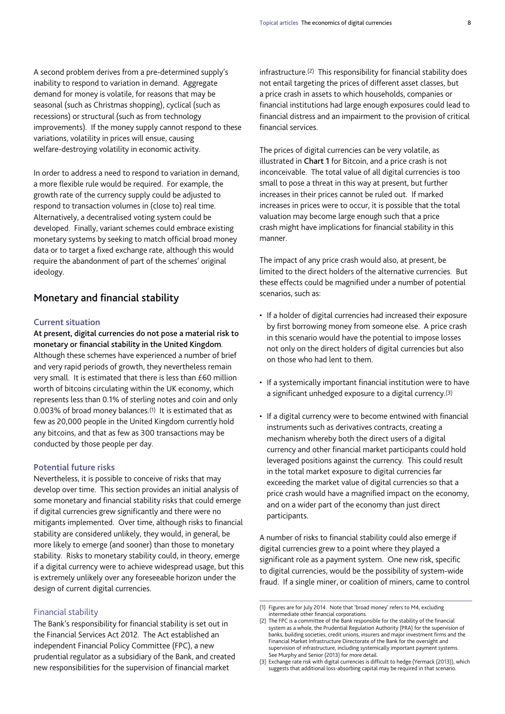A second problem derives from a pre-determined supply's inability to respond to variation in demand. Aggregate demand for money is volatile, for reasons that may be seasonal (such as Christmas shopping), cyclical (such as recessions) or structural (such as from technology improvements). If the money supply cannot respond to these variations, volatility in prices will ensue, causing welfare-destroying volatility in economic activity.

In order to address a need to respond to variation in demand, a more flexible rule would be required. For example, the growth rate of the currency supply could be adjusted to respond to transaction volumes in (close to) real time. Alternatively, a decentralised voting system could be developed. Finally, variant schemes could embrace existing monetary systems by seeking to match official broad money data or to target a fixed exchange rate, although this would require the abandonment of part of the schemes' original ideology.

## **Monetary and financial stability**

## **Current situation**

**At present, digital currencies do not pose a material risk to monetary or financial stability in the United Kingdom**. Although these schemes have experienced a number of brief and very rapid periods of growth, they nevertheless remain very small. It is estimated that there is less than £60 million worth of bitcoins circulating within the UK economy, which represents less than 0.1% of sterling notes and coin and only 0.003% of broad money balances.(1) It is estimated that as few as 20,000 people in the United Kingdom currently hold any bitcoins, and that as few as 300 transactions may be conducted by those people per day.

### **Potential future risks**

Nevertheless, it is possible to conceive of risks that may develop over time. This section provides an initial analysis of some monetary and financial stability risks that could emerge if digital currencies grew significantly and there were no mitigants implemented. Over time, although risks to financial stability are considered unlikely, they would, in general, be more likely to emerge (and sooner) than those to monetary stability. Risks to monetary stability could, in theory, emerge if a digital currency were to achieve widespread usage, but this is extremely unlikely over any foreseeable horizon under the design of current digital currencies.

#### Financial stability

The Bank's responsibility for financial stability is set out in the Financial Services Act 2012. The Act established an independent Financial Policy Committee (FPC), a new prudential regulator as a subsidiary of the Bank, and created new responsibilities for the supervision of financial market

infrastructure.(2) This responsibility for financial stability does not entail targeting the prices of different asset classes, but a price crash in assets to which households, companies or financial institutions had large enough exposures could lead to financial distress and an impairment to the provision of critical financial services.

The prices of digital currencies can be very volatile, as illustrated in **Chart 1** for Bitcoin, and a price crash is not inconceivable. The total value of all digital currencies is too small to pose a threat in this way at present, but further increases in their prices cannot be ruled out. If marked increases in prices were to occur, it is possible that the total valuation may become large enough such that a price crash might have implications for financial stability in this manner.

The impact of any price crash would also, at present, be limited to the direct holders of the alternative currencies. But these effects could be magnified under a number of potential scenarios, such as:

- If a holder of digital currencies had increased their exposure by first borrowing money from someone else. A price crash in this scenario would have the potential to impose losses not only on the direct holders of digital currencies but also on those who had lent to them.
- If a systemically important financial institution were to have a significant unhedged exposure to a digital currency.(3)
- If a digital currency were to become entwined with financial instruments such as derivatives contracts, creating a mechanism whereby both the direct users of a digital currency and other financial market participants could hold leveraged positions against the currency. This could result in the total market exposure to digital currencies far exceeding the market value of digital currencies so that a price crash would have a magnified impact on the economy, and on a wider part of the economy than just direct participants.

A number of risks to financial stability could also emerge if digital currencies grew to a point where they played a significant role as a payment system. One new risk, specific to digital currencies, would be the possibility of system-wide fraud. If a single miner, or coalition of miners, came to control

<sup>(1)</sup> Figures are for July 2014. Note that 'broad money' refers to M4, excluding intermediate other financial corporations.

<sup>(2)</sup> The FPC is a committee of the Bank responsible for the stability of the financial system as a whole, the Prudential Regulation Authority (PRA) for the supervision of banks, building societies, credit unions, insurers and major investment firms and the Financial Market Infrastructure Directorate of the Bank for the oversight and supervision of infrastructure, including systemically important payment systems. See Murphy and Senior (2013) for more detail.

<sup>(3)</sup> Exchange rate risk with digital currencies is difficult to hedge (Yermack (2013)), which suggests that additional loss-absorbing capital may be required in that scenario.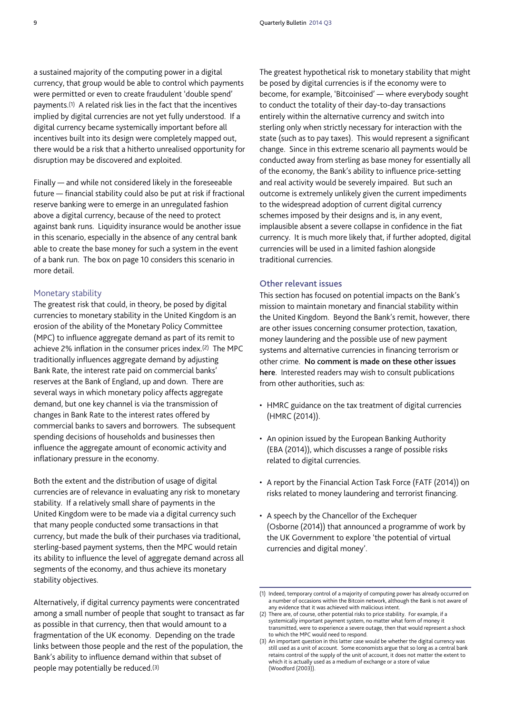a sustained majority of the computing power in a digital currency, that group would be able to control which payments were permitted or even to create fraudulent 'double spend' payments.(1) A related risk lies in the fact that the incentives implied by digital currencies are not yet fully understood. If a digital currency became systemically important before all incentives built into its design were completely mapped out, there would be a risk that a hitherto unrealised opportunity for disruption may be discovered and exploited.

Finally — and while not considered likely in the foreseeable future — financial stability could also be put at risk if fractional reserve banking were to emerge in an unregulated fashion above a digital currency, because of the need to protect against bank runs. Liquidity insurance would be another issue in this scenario, especially in the absence of any central bank able to create the base money for such a system in the event of a bank run. The box on page 10 considers this scenario in more detail.

#### Monetary stability

The greatest risk that could, in theory, be posed by digital currencies to monetary stability in the United Kingdom is an erosion of the ability of the Monetary Policy Committee (MPC) to influence aggregate demand as part of its remit to achieve 2% inflation in the consumer prices index.(2) The MPC traditionally influences aggregate demand by adjusting Bank Rate, the interest rate paid on commercial banks' reserves at the Bank of England, up and down. There are several ways in which monetary policy affects aggregate demand, but one key channel is via the transmission of changes in Bank Rate to the interest rates offered by commercial banks to savers and borrowers. The subsequent spending decisions of households and businesses then influence the aggregate amount of economic activity and inflationary pressure in the economy.

Both the extent and the distribution of usage of digital currencies are of relevance in evaluating any risk to monetary stability. If a relatively small share of payments in the United Kingdom were to be made via a digital currency such that many people conducted some transactions in that currency, but made the bulk of their purchases via traditional, sterling-based payment systems, then the MPC would retain its ability to influence the level of aggregate demand across all segments of the economy, and thus achieve its monetary stability objectives.

Alternatively, if digital currency payments were concentrated among a small number of people that sought to transact as far as possible in that currency, then that would amount to a fragmentation of the UK economy. Depending on the trade links between those people and the rest of the population, the Bank's ability to influence demand within that subset of people may potentially be reduced.(3)

The greatest hypothetical risk to monetary stability that might be posed by digital currencies is if the economy were to become, for example, 'Bitcoinised' — where everybody sought to conduct the totality of their day-to-day transactions entirely within the alternative currency and switch into sterling only when strictly necessary for interaction with the state (such as to pay taxes). This would represent a significant change. Since in this extreme scenario all payments would be conducted away from sterling as base money for essentially all of the economy, the Bank's ability to influence price-setting and real activity would be severely impaired. But such an outcome is extremely unlikely given the current impediments to the widespread adoption of current digital currency schemes imposed by their designs and is, in any event, implausible absent a severe collapse in confidence in the fiat currency. It is much more likely that, if further adopted, digital currencies will be used in a limited fashion alongside traditional currencies.

## **Other relevant issues**

This section has focused on potential impacts on the Bank's mission to maintain monetary and financial stability within the United Kingdom. Beyond the Bank's remit, however, there are other issues concerning consumer protection, taxation, money laundering and the possible use of new payment systems and alternative currencies in financing terrorism or other crime. **No comment is made on these other issues here**. Interested readers may wish to consult publications from other authorities, such as:

- HMRC guidance on the tax treatment of digital currencies (HMRC (2014)).
- An opinion issued by the European Banking Authority (EBA (2014)), which discusses a range of possible risks related to digital currencies.
- A report by the Financial Action Task Force (FATF (2014)) on risks related to money laundering and terrorist financing.
- A speech by the Chancellor of the Exchequer (Osborne (2014)) that announced a programme of work by the UK Government to explore 'the potential of virtual currencies and digital money'.

<sup>(1)</sup> Indeed, temporary control of a majority of computing power has already occurred on a number of occasions within the Bitcoin network, although the Bank is not aware of any evidence that it was achieved with malicious intent.

<sup>(2)</sup> There are, of course, other potential risks to price stability. For example, if a systemically important payment system, no matter what form of money it transmitted, were to experience a severe outage, then that would represent a shock to which the MPC would need to respond.

<sup>(3)</sup> An important question in this latter case would be whether the digital currency was still used as a unit of account. Some economists argue that so long as a central bank retains control of the supply of the unit of account, it does not matter the extent to which it is actually used as a medium of exchange or a store of value (Woodford (2003)).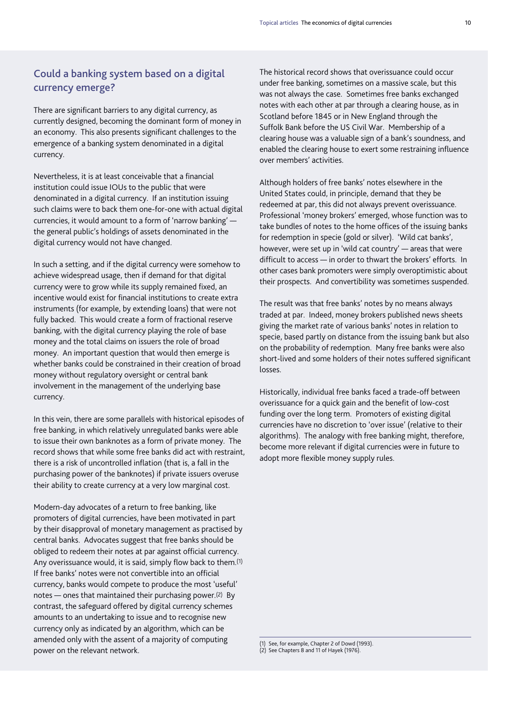# **Could a banking system based on a digital currency emerge?**

There are significant barriers to any digital currency, as currently designed, becoming the dominant form of money in an economy. This also presents significant challenges to the emergence of a banking system denominated in a digital currency.

Nevertheless, it is at least conceivable that a financial institution could issue IOUs to the public that were denominated in a digital currency. If an institution issuing such claims were to back them one-for-one with actual digital currencies, it would amount to a form of 'narrow banking' the general public's holdings of assets denominated in the digital currency would not have changed.

In such a setting, and if the digital currency were somehow to achieve widespread usage, then if demand for that digital currency were to grow while its supply remained fixed, an incentive would exist for financial institutions to create extra instruments (for example, by extending loans) that were not fully backed. This would create a form of fractional reserve banking, with the digital currency playing the role of base money and the total claims on issuers the role of broad money. An important question that would then emerge is whether banks could be constrained in their creation of broad money without regulatory oversight or central bank involvement in the management of the underlying base currency.

In this vein, there are some parallels with historical episodes of free banking, in which relatively unregulated banks were able to issue their own banknotes as a form of private money. The record shows that while some free banks did act with restraint, there is a risk of uncontrolled inflation (that is, a fall in the purchasing power of the banknotes) if private issuers overuse their ability to create currency at a very low marginal cost.

Modern-day advocates of a return to free banking, like promoters of digital currencies, have been motivated in part by their disapproval of monetary management as practised by central banks. Advocates suggest that free banks should be obliged to redeem their notes at par against official currency. Any overissuance would, it is said, simply flow back to them.(1) If free banks' notes were not convertible into an official currency, banks would compete to produce the most 'useful' notes — ones that maintained their purchasing power.<sup>(2)</sup> By contrast, the safeguard offered by digital currency schemes amounts to an undertaking to issue and to recognise new currency only as indicated by an algorithm, which can be amended only with the assent of a majority of computing power on the relevant network.

The historical record shows that overissuance could occur under free banking, sometimes on a massive scale, but this was not always the case. Sometimes free banks exchanged notes with each other at par through a clearing house, as in Scotland before 1845 or in New England through the Suffolk Bank before the US Civil War. Membership of a clearing house was a valuable sign of a bank's soundness, and enabled the clearing house to exert some restraining influence over members' activities.

Although holders of free banks' notes elsewhere in the United States could, in principle, demand that they be redeemed at par, this did not always prevent overissuance. Professional 'money brokers' emerged, whose function was to take bundles of notes to the home offices of the issuing banks for redemption in specie (gold or silver). 'Wild cat banks', however, were set up in 'wild cat country' — areas that were difficult to access — in order to thwart the brokers' efforts. In other cases bank promoters were simply overoptimistic about their prospects. And convertibility was sometimes suspended.

The result was that free banks' notes by no means always traded at par. Indeed, money brokers published news sheets giving the market rate of various banks' notes in relation to specie, based partly on distance from the issuing bank but also on the probability of redemption. Many free banks were also short-lived and some holders of their notes suffered significant losses.

Historically, individual free banks faced a trade-off between overissuance for a quick gain and the benefit of low-cost funding over the long term. Promoters of existing digital currencies have no discretion to 'over issue' (relative to their algorithms). The analogy with free banking might, therefore, become more relevant if digital currencies were in future to adopt more flexible money supply rules.

(1) See, for example, Chapter 2 of Dowd (1993). (2) See Chapters 8 and 11 of Hayek (1976).